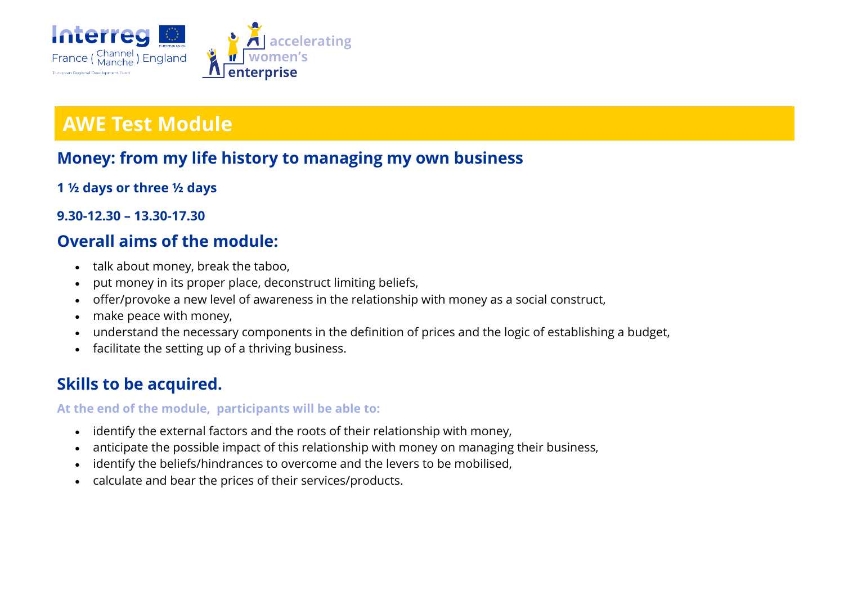

## **AWE Test Module**

### **Money: from my life history to managing my own business**

- **1 ½ days or three ½ days**
- **9.30-12.30 – 13.30-17.30**

### **Overall aims of the module:**

- talk about money, break the taboo,
- put money in its proper place, deconstruct limiting beliefs,
- offer/provoke a new level of awareness in the relationship with money as a social construct,
- make peace with money,
- understand the necessary components in the definition of prices and the logic of establishing a budget,
- facilitate the setting up of a thriving business.

### **Skills to be acquired.**

#### **At the end of the module, participants will be able to:**

- identify the external factors and the roots of their relationship with money,
- anticipate the possible impact of this relationship with money on managing their business,
- identify the beliefs/hindrances to overcome and the levers to be mobilised,
- calculate and bear the prices of their services/products.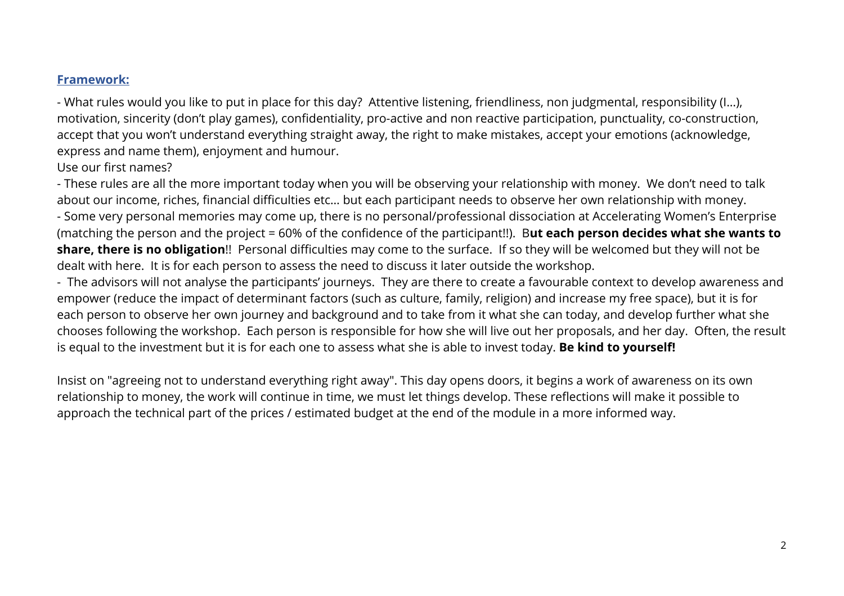#### **Framework:**

- What rules would you like to put in place for this day? Attentive listening, friendliness, non judgmental, responsibility (I…), motivation, sincerity (don't play games), confidentiality, pro-active and non reactive participation, punctuality, co-construction, accept that you won't understand everything straight away, the right to make mistakes, accept your emotions (acknowledge, express and name them), enjoyment and humour.

#### Use our first names?

- These rules are all the more important today when you will be observing your relationship with money. We don't need to talk about our income, riches, financial difficulties etc… but each participant needs to observe her own relationship with money. - Some very personal memories may come up, there is no personal/professional dissociation at Accelerating Women's Enterprise (matching the person and the project = 60% of the confidence of the participant!!). B**ut each person decides what she wants to share, there is no obligation**!! Personal difficulties may come to the surface. If so they will be welcomed but they will not be dealt with here. It is for each person to assess the need to discuss it later outside the workshop.

- The advisors will not analyse the participants' journeys. They are there to create a favourable context to develop awareness and empower (reduce the impact of determinant factors (such as culture, family, religion) and increase my free space), but it is for each person to observe her own journey and background and to take from it what she can today, and develop further what she chooses following the workshop. Each person is responsible for how she will live out her proposals, and her day. Often, the result is equal to the investment but it is for each one to assess what she is able to invest today. **Be kind to yourself!**

Insist on "agreeing not to understand everything right away". This day opens doors, it begins a work of awareness on its own relationship to money, the work will continue in time, we must let things develop. These reflections will make it possible to approach the technical part of the prices / estimated budget at the end of the module in a more informed way.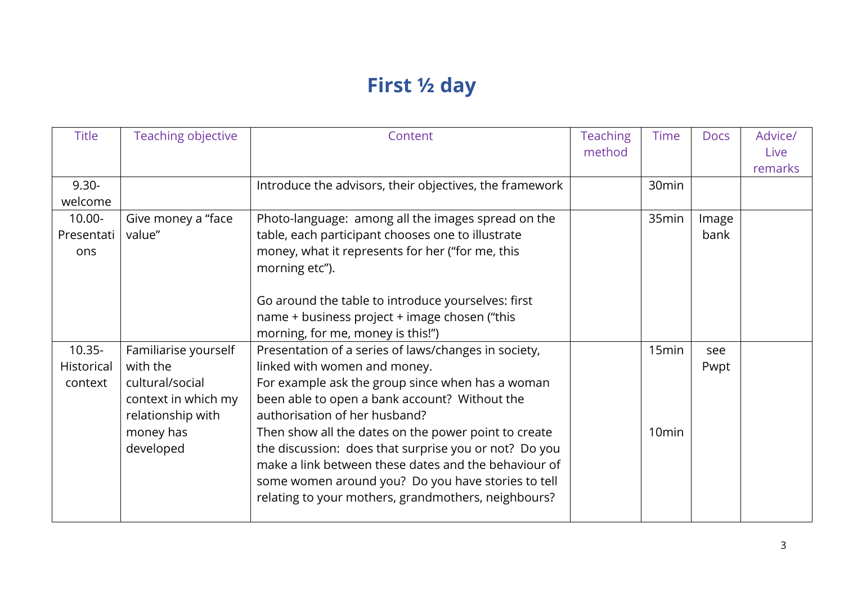# **First ½ day**

| <b>Title</b>                       | <b>Teaching objective</b>                                                                                                 | Content                                                                                                                                                                                                                                                                                                                                                                                                                                                                                                          | <b>Teaching</b><br>method | <b>Time</b>                | <b>Docs</b>   | Advice/<br>Live<br>remarks |
|------------------------------------|---------------------------------------------------------------------------------------------------------------------------|------------------------------------------------------------------------------------------------------------------------------------------------------------------------------------------------------------------------------------------------------------------------------------------------------------------------------------------------------------------------------------------------------------------------------------------------------------------------------------------------------------------|---------------------------|----------------------------|---------------|----------------------------|
| $9.30 -$<br>welcome                |                                                                                                                           | Introduce the advisors, their objectives, the framework                                                                                                                                                                                                                                                                                                                                                                                                                                                          |                           | 30 <sub>min</sub>          |               |                            |
| $10.00 -$<br>Presentati<br>ons     | Give money a "face<br>value"                                                                                              | Photo-language: among all the images spread on the<br>table, each participant chooses one to illustrate<br>money, what it represents for her ("for me, this<br>morning etc").<br>Go around the table to introduce yourselves: first<br>name + business project + image chosen ("this<br>morning, for me, money is this!")                                                                                                                                                                                        |                           | 35min                      | Image<br>bank |                            |
| $10.35 -$<br>Historical<br>context | Familiarise yourself<br>with the<br>cultural/social<br>context in which my<br>relationship with<br>money has<br>developed | Presentation of a series of laws/changes in society,<br>linked with women and money.<br>For example ask the group since when has a woman<br>been able to open a bank account? Without the<br>authorisation of her husband?<br>Then show all the dates on the power point to create<br>the discussion: does that surprise you or not? Do you<br>make a link between these dates and the behaviour of<br>some women around you? Do you have stories to tell<br>relating to your mothers, grandmothers, neighbours? |                           | 15min<br>10 <sub>min</sub> | see<br>Pwpt   |                            |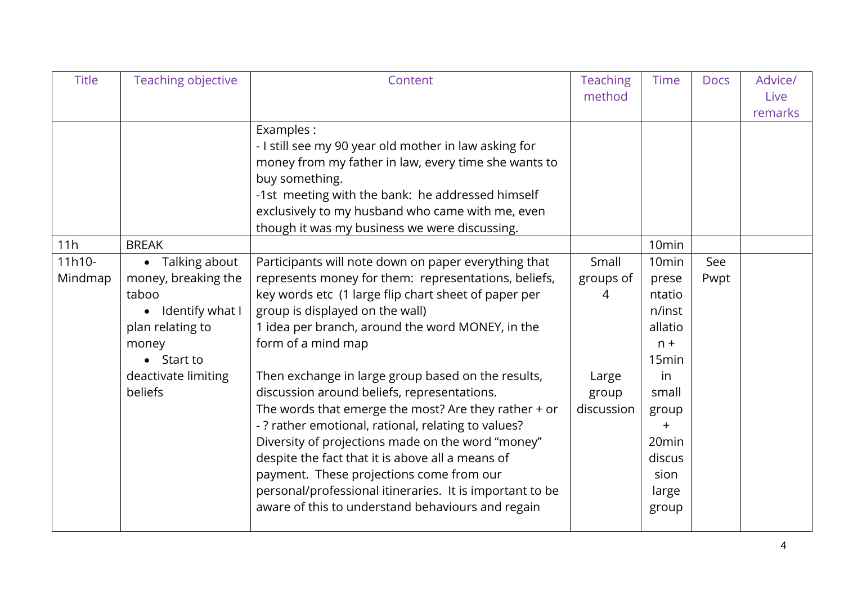| <b>Title</b>      | <b>Teaching objective</b>                                                                                                                               | Content                                                                                                                                                                                                                                                                                                                                                                                                                                                                                                                                                                                                                                                                                                                                                                       | <b>Teaching</b><br>method                               | <b>Time</b>                                                                                                                                                                           | <b>Docs</b> | Advice/<br>Live<br>remarks |
|-------------------|---------------------------------------------------------------------------------------------------------------------------------------------------------|-------------------------------------------------------------------------------------------------------------------------------------------------------------------------------------------------------------------------------------------------------------------------------------------------------------------------------------------------------------------------------------------------------------------------------------------------------------------------------------------------------------------------------------------------------------------------------------------------------------------------------------------------------------------------------------------------------------------------------------------------------------------------------|---------------------------------------------------------|---------------------------------------------------------------------------------------------------------------------------------------------------------------------------------------|-------------|----------------------------|
| 11h               | <b>BREAK</b>                                                                                                                                            | Examples:<br>- I still see my 90 year old mother in law asking for<br>money from my father in law, every time she wants to<br>buy something.<br>-1st meeting with the bank: he addressed himself<br>exclusively to my husband who came with me, even<br>though it was my business we were discussing.                                                                                                                                                                                                                                                                                                                                                                                                                                                                         |                                                         | 10 <sub>min</sub>                                                                                                                                                                     |             |                            |
| 11h10-<br>Mindmap | • Talking about<br>money, breaking the<br>taboo<br>Identify what I<br>plan relating to<br>money<br>$\bullet$ Start to<br>deactivate limiting<br>beliefs | Participants will note down on paper everything that<br>represents money for them: representations, beliefs,<br>key words etc (1 large flip chart sheet of paper per<br>group is displayed on the wall)<br>1 idea per branch, around the word MONEY, in the<br>form of a mind map<br>Then exchange in large group based on the results,<br>discussion around beliefs, representations.<br>The words that emerge the most? Are they rather $+$ or<br>- ? rather emotional, rational, relating to values?<br>Diversity of projections made on the word "money"<br>despite the fact that it is above all a means of<br>payment. These projections come from our<br>personal/professional itineraries. It is important to be<br>aware of this to understand behaviours and regain | Small<br>groups of<br>4<br>Large<br>group<br>discussion | 10 <sub>min</sub><br>prese<br>ntatio<br>n/inst<br>allatio<br>$n +$<br>15 <sub>min</sub><br>in<br>small<br>group<br>$\ddot{}$<br>20 <sub>min</sub><br>discus<br>sion<br>large<br>group | See<br>Pwpt |                            |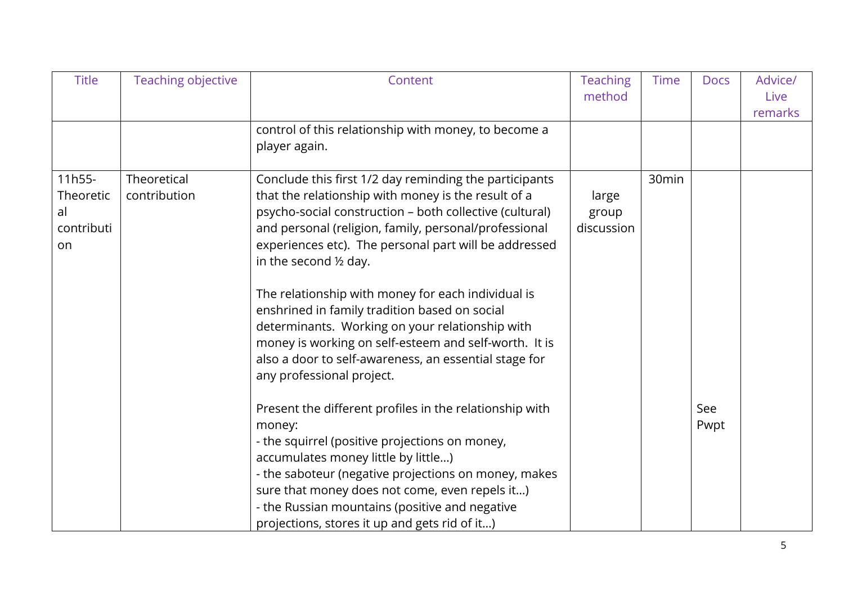| <b>Title</b>                                  | Teaching objective          | Content                                                                                                                                                                                                                                                                                                                                                                                                                                                                                                                                                                                                                                                                                                      | <b>Teaching</b><br>method    | <b>Time</b> | <b>Docs</b> | Advice/<br>Live<br>remarks |
|-----------------------------------------------|-----------------------------|--------------------------------------------------------------------------------------------------------------------------------------------------------------------------------------------------------------------------------------------------------------------------------------------------------------------------------------------------------------------------------------------------------------------------------------------------------------------------------------------------------------------------------------------------------------------------------------------------------------------------------------------------------------------------------------------------------------|------------------------------|-------------|-------------|----------------------------|
|                                               |                             | control of this relationship with money, to become a<br>player again.                                                                                                                                                                                                                                                                                                                                                                                                                                                                                                                                                                                                                                        |                              |             |             |                            |
| 11h55-<br>Theoretic<br>al<br>contributi<br>on | Theoretical<br>contribution | Conclude this first 1/2 day reminding the participants<br>that the relationship with money is the result of a<br>psycho-social construction - both collective (cultural)<br>and personal (religion, family, personal/professional<br>experiences etc). The personal part will be addressed<br>in the second $\frac{1}{2}$ day.<br>The relationship with money for each individual is<br>enshrined in family tradition based on social<br>determinants. Working on your relationship with<br>money is working on self-esteem and self-worth. It is<br>also a door to self-awareness, an essential stage for<br>any professional project.<br>Present the different profiles in the relationship with<br>money: | large<br>group<br>discussion | 30min       | See<br>Pwpt |                            |
|                                               |                             | - the squirrel (positive projections on money,<br>accumulates money little by little)<br>- the saboteur (negative projections on money, makes<br>sure that money does not come, even repels it)<br>- the Russian mountains (positive and negative<br>projections, stores it up and gets rid of it)                                                                                                                                                                                                                                                                                                                                                                                                           |                              |             |             |                            |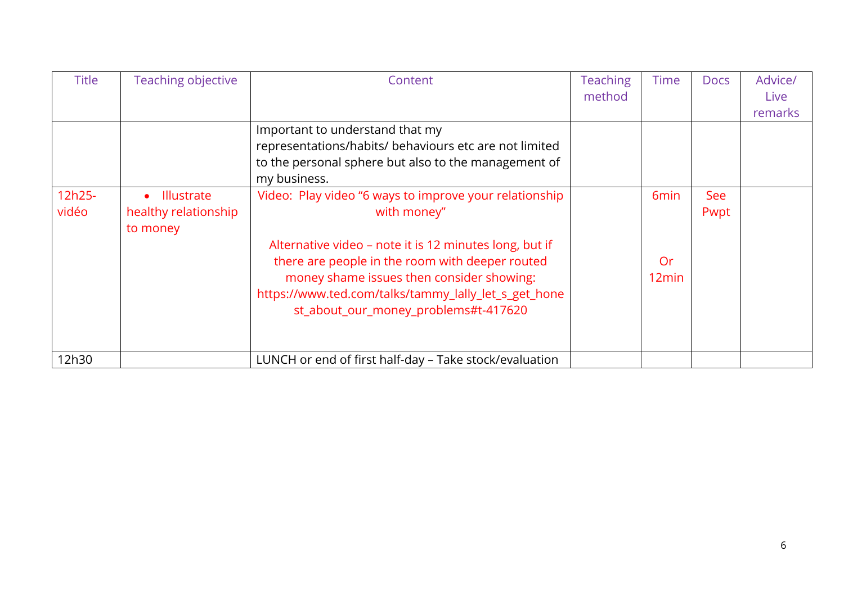| <b>Title</b> | Teaching objective             | Content                                                | <b>Teaching</b> | <b>Time</b>       | <b>Docs</b> | Advice/     |
|--------------|--------------------------------|--------------------------------------------------------|-----------------|-------------------|-------------|-------------|
|              |                                |                                                        | method          |                   |             | <b>Live</b> |
|              |                                |                                                        |                 |                   |             | remarks     |
|              |                                | Important to understand that my                        |                 |                   |             |             |
|              |                                | representations/habits/ behaviours etc are not limited |                 |                   |             |             |
|              |                                | to the personal sphere but also to the management of   |                 |                   |             |             |
|              |                                | my business.                                           |                 |                   |             |             |
| 12h25-       | <b>Illustrate</b><br>$\bullet$ | Video: Play video "6 ways to improve your relationship |                 | 6 <sub>min</sub>  | See         |             |
| vidéo        | healthy relationship           | with money"                                            |                 |                   | Pwpt        |             |
|              | to money                       |                                                        |                 |                   |             |             |
|              |                                | Alternative video - note it is 12 minutes long, but if |                 |                   |             |             |
|              |                                | there are people in the room with deeper routed        |                 | Or                |             |             |
|              |                                | money shame issues then consider showing:              |                 | 12 <sub>min</sub> |             |             |
|              |                                | https://www.ted.com/talks/tammy_lally_let_s_get_hone   |                 |                   |             |             |
|              |                                | st_about_our_money_problems#t-417620                   |                 |                   |             |             |
|              |                                |                                                        |                 |                   |             |             |
|              |                                |                                                        |                 |                   |             |             |
| 12h30        |                                | LUNCH or end of first half-day – Take stock/evaluation |                 |                   |             |             |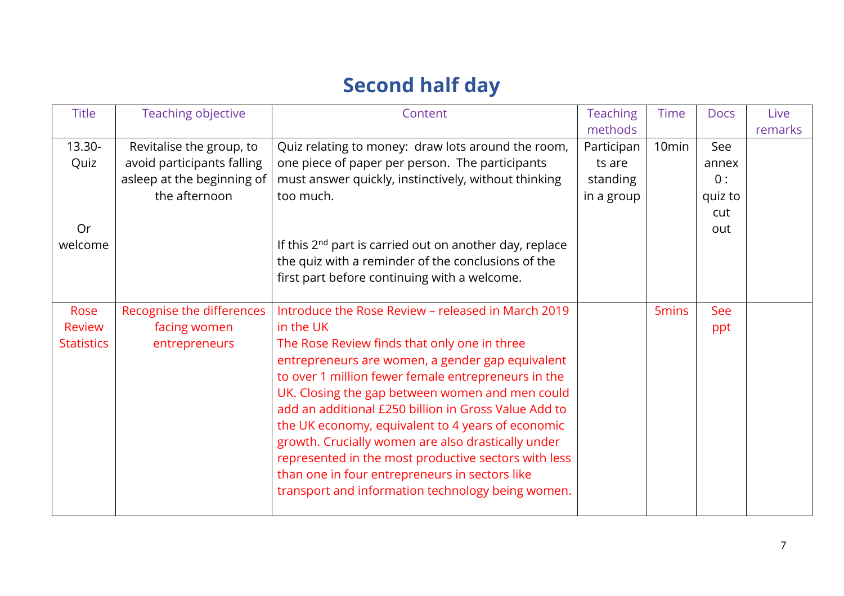## **Second half day**

| <b>Title</b>      | Teaching objective         | Content                                                             | <b>Teaching</b> | <b>Time</b>       | <b>Docs</b> | Live    |
|-------------------|----------------------------|---------------------------------------------------------------------|-----------------|-------------------|-------------|---------|
|                   |                            |                                                                     | methods         |                   |             | remarks |
| 13.30-            | Revitalise the group, to   | Quiz relating to money: draw lots around the room,                  | Participan      | 10 <sub>min</sub> | See         |         |
| Quiz              | avoid participants falling | one piece of paper per person. The participants                     | ts are          |                   | annex       |         |
|                   | asleep at the beginning of | must answer quickly, instinctively, without thinking                | standing        |                   | 0:          |         |
|                   | the afternoon              | too much.                                                           | in a group      |                   | quiz to     |         |
|                   |                            |                                                                     |                 |                   | cut         |         |
| Or                |                            |                                                                     |                 |                   | out         |         |
| welcome           |                            | If this 2 <sup>nd</sup> part is carried out on another day, replace |                 |                   |             |         |
|                   |                            | the quiz with a reminder of the conclusions of the                  |                 |                   |             |         |
|                   |                            | first part before continuing with a welcome.                        |                 |                   |             |         |
|                   |                            |                                                                     |                 |                   |             |         |
| Rose              | Recognise the differences  | Introduce the Rose Review - released in March 2019                  |                 | 5 <sub>mins</sub> | See         |         |
| <b>Review</b>     | facing women               | in the UK                                                           |                 |                   | ppt         |         |
| <b>Statistics</b> | entrepreneurs              | The Rose Review finds that only one in three                        |                 |                   |             |         |
|                   |                            | entrepreneurs are women, a gender gap equivalent                    |                 |                   |             |         |
|                   |                            | to over 1 million fewer female entrepreneurs in the                 |                 |                   |             |         |
|                   |                            | UK. Closing the gap between women and men could                     |                 |                   |             |         |
|                   |                            | add an additional £250 billion in Gross Value Add to                |                 |                   |             |         |
|                   |                            | the UK economy, equivalent to 4 years of economic                   |                 |                   |             |         |
|                   |                            | growth. Crucially women are also drastically under                  |                 |                   |             |         |
|                   |                            | represented in the most productive sectors with less                |                 |                   |             |         |
|                   |                            | than one in four entrepreneurs in sectors like                      |                 |                   |             |         |
|                   |                            | transport and information technology being women.                   |                 |                   |             |         |
|                   |                            |                                                                     |                 |                   |             |         |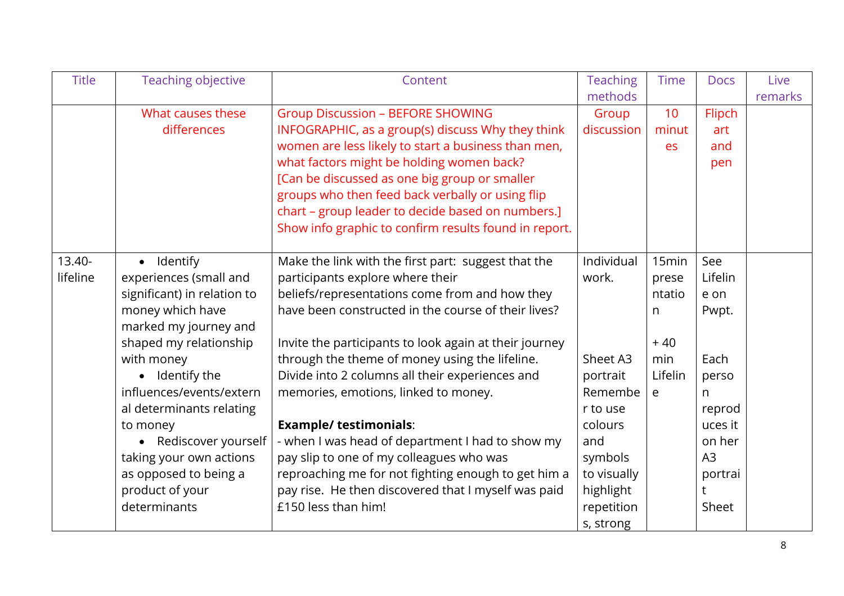| <b>Title</b> | Teaching objective          | Content                                                | <b>Teaching</b> | Time         | <b>Docs</b> | Live    |
|--------------|-----------------------------|--------------------------------------------------------|-----------------|--------------|-------------|---------|
|              |                             |                                                        | methods         |              |             | remarks |
|              | What causes these           | <b>Group Discussion - BEFORE SHOWING</b>               | Group           | 10           | Flipch      |         |
|              | differences                 | INFOGRAPHIC, as a group(s) discuss Why they think      | discussion      | minut        | art         |         |
|              |                             | women are less likely to start a business than men,    |                 | es           | and         |         |
|              |                             | what factors might be holding women back?              |                 |              | pen         |         |
|              |                             | [Can be discussed as one big group or smaller          |                 |              |             |         |
|              |                             | groups who then feed back verbally or using flip       |                 |              |             |         |
|              |                             | chart - group leader to decide based on numbers.]      |                 |              |             |         |
|              |                             | Show info graphic to confirm results found in report.  |                 |              |             |         |
|              |                             |                                                        |                 |              |             |         |
| 13.40-       | · Identify                  | Make the link with the first part: suggest that the    | Individual      | 15min        | See         |         |
| lifeline     | experiences (small and      | participants explore where their                       | work.           | prese        | Lifelin     |         |
|              | significant) in relation to | beliefs/representations come from and how they         |                 | ntatio       | e on        |         |
|              | money which have            | have been constructed in the course of their lives?    |                 | n            | Pwpt.       |         |
|              | marked my journey and       |                                                        |                 |              |             |         |
|              | shaped my relationship      | Invite the participants to look again at their journey |                 | $+40$        |             |         |
|              | with money                  | through the theme of money using the lifeline.         | Sheet A3        | min          | Each        |         |
|              | • Identify the              | Divide into 2 columns all their experiences and        | portrait        | Lifelin      | perso       |         |
|              | influences/events/extern    | memories, emotions, linked to money.                   | Remembe         | $\mathsf{e}$ | n           |         |
|              | al determinants relating    |                                                        | r to use        |              | reprod      |         |
|              | to money                    | <b>Example/ testimonials:</b>                          | colours         |              | uces it     |         |
|              | • Rediscover yourself       | - when I was head of department I had to show my       | and             |              | on her      |         |
|              | taking your own actions     | pay slip to one of my colleagues who was               | symbols         |              | A3          |         |
|              | as opposed to being a       | reproaching me for not fighting enough to get him a    | to visually     |              | portrai     |         |
|              | product of your             | pay rise. He then discovered that I myself was paid    | highlight       |              |             |         |
|              | determinants                | £150 less than him!                                    | repetition      |              | Sheet       |         |
|              |                             |                                                        | s, strong       |              |             |         |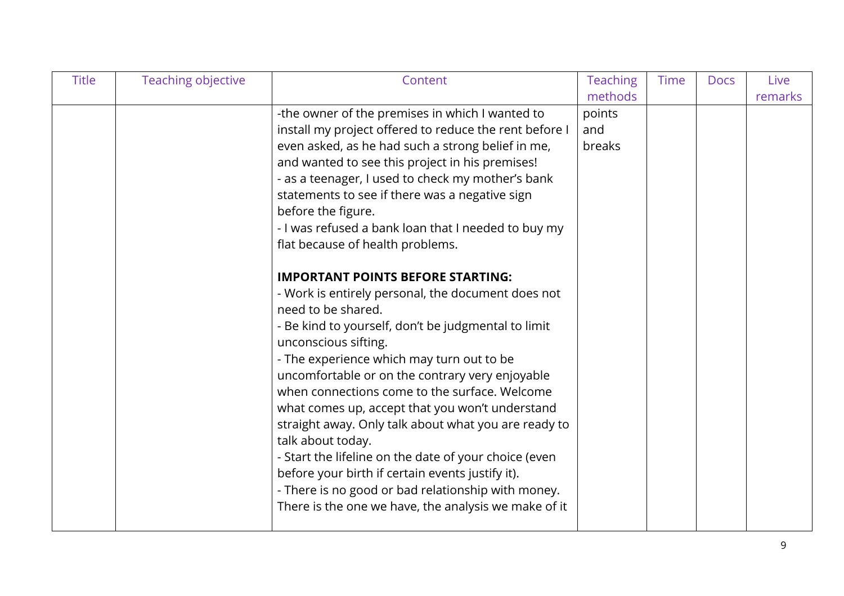| <b>Title</b> | Teaching objective | Content                                                | <b>Teaching</b> | Time | <b>Docs</b> | Live    |
|--------------|--------------------|--------------------------------------------------------|-----------------|------|-------------|---------|
|              |                    |                                                        | methods         |      |             | remarks |
|              |                    | -the owner of the premises in which I wanted to        | points          |      |             |         |
|              |                    | install my project offered to reduce the rent before I | and             |      |             |         |
|              |                    | even asked, as he had such a strong belief in me,      | breaks          |      |             |         |
|              |                    | and wanted to see this project in his premises!        |                 |      |             |         |
|              |                    | - as a teenager, I used to check my mother's bank      |                 |      |             |         |
|              |                    | statements to see if there was a negative sign         |                 |      |             |         |
|              |                    | before the figure.                                     |                 |      |             |         |
|              |                    | - I was refused a bank loan that I needed to buy my    |                 |      |             |         |
|              |                    | flat because of health problems.                       |                 |      |             |         |
|              |                    | <b>IMPORTANT POINTS BEFORE STARTING:</b>               |                 |      |             |         |
|              |                    | - Work is entirely personal, the document does not     |                 |      |             |         |
|              |                    | need to be shared.                                     |                 |      |             |         |
|              |                    | - Be kind to yourself, don't be judgmental to limit    |                 |      |             |         |
|              |                    | unconscious sifting.                                   |                 |      |             |         |
|              |                    | - The experience which may turn out to be              |                 |      |             |         |
|              |                    | uncomfortable or on the contrary very enjoyable        |                 |      |             |         |
|              |                    | when connections come to the surface. Welcome          |                 |      |             |         |
|              |                    | what comes up, accept that you won't understand        |                 |      |             |         |
|              |                    | straight away. Only talk about what you are ready to   |                 |      |             |         |
|              |                    | talk about today.                                      |                 |      |             |         |
|              |                    | - Start the lifeline on the date of your choice (even  |                 |      |             |         |
|              |                    | before your birth if certain events justify it).       |                 |      |             |         |
|              |                    | - There is no good or bad relationship with money.     |                 |      |             |         |
|              |                    | There is the one we have, the analysis we make of it   |                 |      |             |         |
|              |                    |                                                        |                 |      |             |         |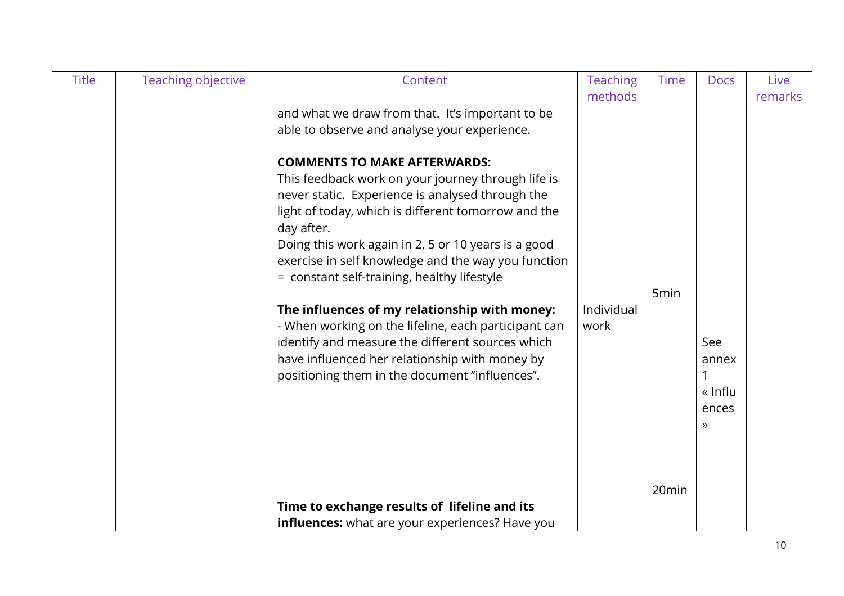| <b>Title</b> | Teaching objective | Content                                                                                                                                                                                                                                                                                                                                                                                                                                                                                                                                                                                                                                                                                                                                                                                              | <b>Teaching</b><br>methods | <b>Time</b>               | <b>Docs</b>                                       | Live<br>remarks |
|--------------|--------------------|------------------------------------------------------------------------------------------------------------------------------------------------------------------------------------------------------------------------------------------------------------------------------------------------------------------------------------------------------------------------------------------------------------------------------------------------------------------------------------------------------------------------------------------------------------------------------------------------------------------------------------------------------------------------------------------------------------------------------------------------------------------------------------------------------|----------------------------|---------------------------|---------------------------------------------------|-----------------|
|              |                    | and what we draw from that. It's important to be<br>able to observe and analyse your experience.<br><b>COMMENTS TO MAKE AFTERWARDS:</b><br>This feedback work on your journey through life is<br>never static. Experience is analysed through the<br>light of today, which is different tomorrow and the<br>day after.<br>Doing this work again in 2, 5 or 10 years is a good<br>exercise in self knowledge and the way you function<br>= constant self-training, healthy lifestyle<br>The influences of my relationship with money:<br>- When working on the lifeline, each participant can<br>identify and measure the different sources which<br>have influenced her relationship with money by<br>positioning them in the document "influences".<br>Time to exchange results of lifeline and its | Individual<br>work         | 5 <sub>min</sub><br>20min | See<br>annex<br>« Influ<br>ences<br>$\rightarrow$ |                 |
|              |                    | influences: what are your experiences? Have you                                                                                                                                                                                                                                                                                                                                                                                                                                                                                                                                                                                                                                                                                                                                                      |                            |                           |                                                   |                 |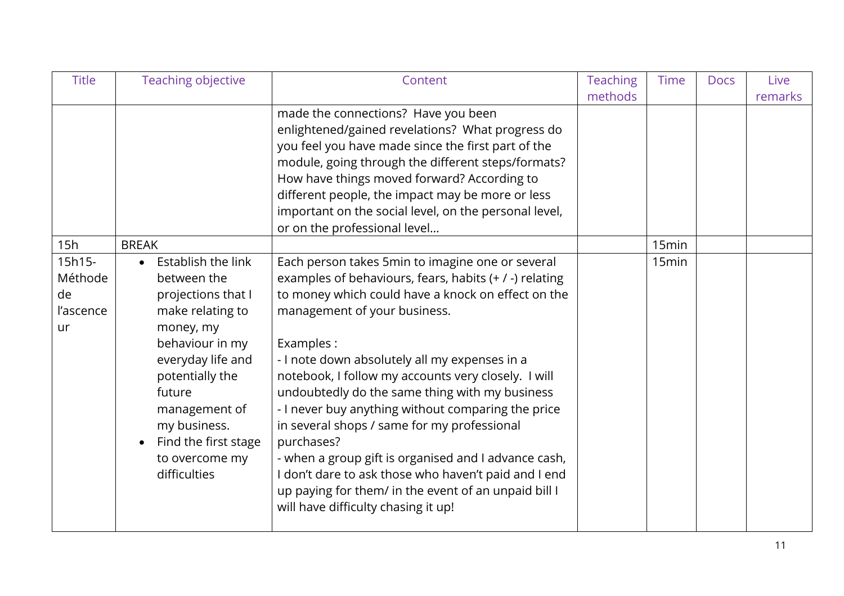| <b>Title</b> | Teaching objective   | Content                                                | <b>Teaching</b> | <b>Time</b>       | <b>Docs</b> | Live    |
|--------------|----------------------|--------------------------------------------------------|-----------------|-------------------|-------------|---------|
|              |                      |                                                        | methods         |                   |             | remarks |
|              |                      | made the connections? Have you been                    |                 |                   |             |         |
|              |                      | enlightened/gained revelations? What progress do       |                 |                   |             |         |
|              |                      | you feel you have made since the first part of the     |                 |                   |             |         |
|              |                      | module, going through the different steps/formats?     |                 |                   |             |         |
|              |                      | How have things moved forward? According to            |                 |                   |             |         |
|              |                      | different people, the impact may be more or less       |                 |                   |             |         |
|              |                      | important on the social level, on the personal level,  |                 |                   |             |         |
|              |                      | or on the professional level                           |                 |                   |             |         |
| 15h          | <b>BREAK</b>         |                                                        |                 | 15min             |             |         |
| 15h15-       | Establish the link   | Each person takes 5min to imagine one or several       |                 | 15 <sub>min</sub> |             |         |
| Méthode      | between the          | examples of behaviours, fears, habits (+ / -) relating |                 |                   |             |         |
| de           | projections that I   | to money which could have a knock on effect on the     |                 |                   |             |         |
| l'ascence    | make relating to     | management of your business.                           |                 |                   |             |         |
| ur           | money, my            |                                                        |                 |                   |             |         |
|              | behaviour in my      | Examples:                                              |                 |                   |             |         |
|              | everyday life and    | - I note down absolutely all my expenses in a          |                 |                   |             |         |
|              | potentially the      | notebook, I follow my accounts very closely. I will    |                 |                   |             |         |
|              | future               | undoubtedly do the same thing with my business         |                 |                   |             |         |
|              | management of        | - I never buy anything without comparing the price     |                 |                   |             |         |
|              | my business.         | in several shops / same for my professional            |                 |                   |             |         |
|              | Find the first stage | purchases?                                             |                 |                   |             |         |
|              | to overcome my       | - when a group gift is organised and I advance cash,   |                 |                   |             |         |
|              | difficulties         | don't dare to ask those who haven't paid and I end     |                 |                   |             |         |
|              |                      | up paying for them/ in the event of an unpaid bill I   |                 |                   |             |         |
|              |                      | will have difficulty chasing it up!                    |                 |                   |             |         |
|              |                      |                                                        |                 |                   |             |         |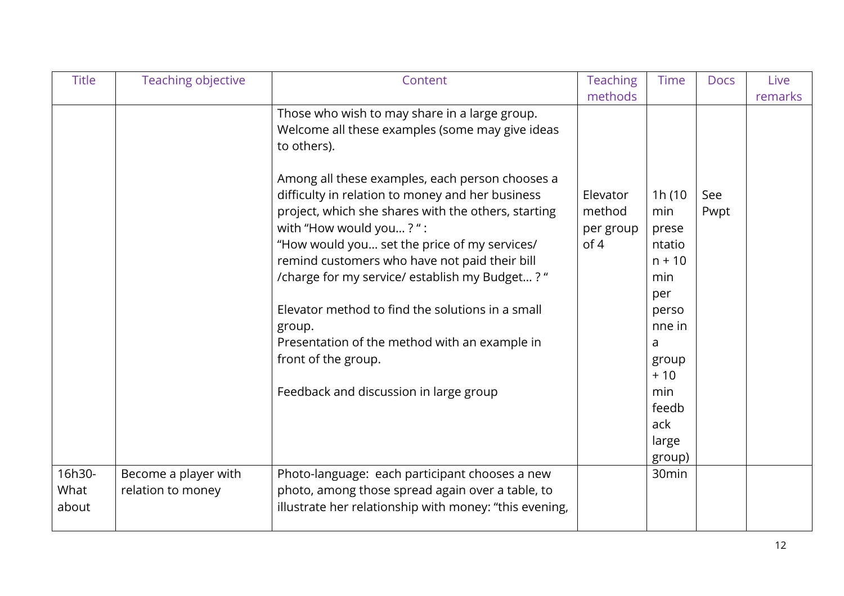| <b>Title</b>            | Teaching objective                        | Content                                                                                                                                                                                                                                                                                                                                                                                                                                                | <b>Teaching</b><br>methods              | <b>Time</b>                                                                       | <b>Docs</b> | Live<br>remarks |
|-------------------------|-------------------------------------------|--------------------------------------------------------------------------------------------------------------------------------------------------------------------------------------------------------------------------------------------------------------------------------------------------------------------------------------------------------------------------------------------------------------------------------------------------------|-----------------------------------------|-----------------------------------------------------------------------------------|-------------|-----------------|
|                         |                                           | Those who wish to may share in a large group.<br>Welcome all these examples (some may give ideas<br>to others).                                                                                                                                                                                                                                                                                                                                        |                                         |                                                                                   |             |                 |
|                         |                                           | Among all these examples, each person chooses a<br>difficulty in relation to money and her business<br>project, which she shares with the others, starting<br>with "How would you?":<br>"How would you set the price of my services/<br>remind customers who have not paid their bill<br>/charge for my service/ establish my Budget? "<br>Elevator method to find the solutions in a small<br>group.<br>Presentation of the method with an example in | Elevator<br>method<br>per group<br>of 4 | 1h(10<br>min<br>prese<br>ntatio<br>$n + 10$<br>min<br>per<br>perso<br>nne in<br>a | See<br>Pwpt |                 |
|                         |                                           | front of the group.<br>Feedback and discussion in large group                                                                                                                                                                                                                                                                                                                                                                                          |                                         | group<br>$+10$<br>min                                                             |             |                 |
|                         |                                           |                                                                                                                                                                                                                                                                                                                                                                                                                                                        |                                         | feedb<br>ack<br>large<br>group)                                                   |             |                 |
| 16h30-<br>What<br>about | Become a player with<br>relation to money | Photo-language: each participant chooses a new<br>photo, among those spread again over a table, to<br>illustrate her relationship with money: "this evening,                                                                                                                                                                                                                                                                                           |                                         | 30min                                                                             |             |                 |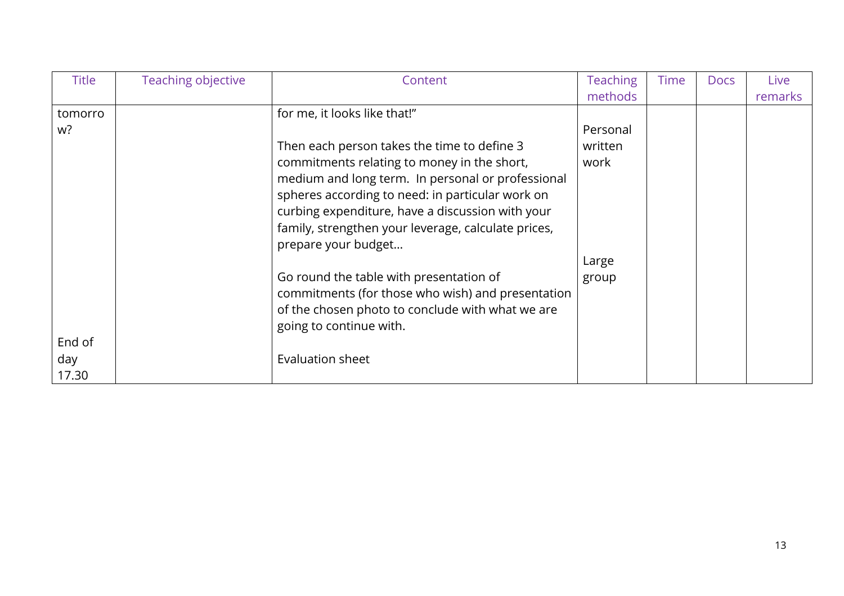| <b>Title</b> | Teaching objective | Content                                             | <b>Teaching</b> | <b>Time</b> | <b>Docs</b> | Live    |
|--------------|--------------------|-----------------------------------------------------|-----------------|-------------|-------------|---------|
|              |                    |                                                     | methods         |             |             | remarks |
| tomorro      |                    | for me, it looks like that!"                        |                 |             |             |         |
| w?           |                    |                                                     | Personal        |             |             |         |
|              |                    | Then each person takes the time to define 3         | written         |             |             |         |
|              |                    | commitments relating to money in the short,         | work            |             |             |         |
|              |                    | medium and long term. In personal or professional   |                 |             |             |         |
|              |                    | spheres according to need: in particular work on    |                 |             |             |         |
|              |                    | curbing expenditure, have a discussion with your    |                 |             |             |         |
|              |                    | family, strengthen your leverage, calculate prices, |                 |             |             |         |
|              |                    | prepare your budget                                 |                 |             |             |         |
|              |                    |                                                     | Large           |             |             |         |
|              |                    | Go round the table with presentation of             | group           |             |             |         |
|              |                    | commitments (for those who wish) and presentation   |                 |             |             |         |
|              |                    | of the chosen photo to conclude with what we are    |                 |             |             |         |
|              |                    | going to continue with.                             |                 |             |             |         |
| End of       |                    |                                                     |                 |             |             |         |
| day          |                    | Evaluation sheet                                    |                 |             |             |         |
| 17.30        |                    |                                                     |                 |             |             |         |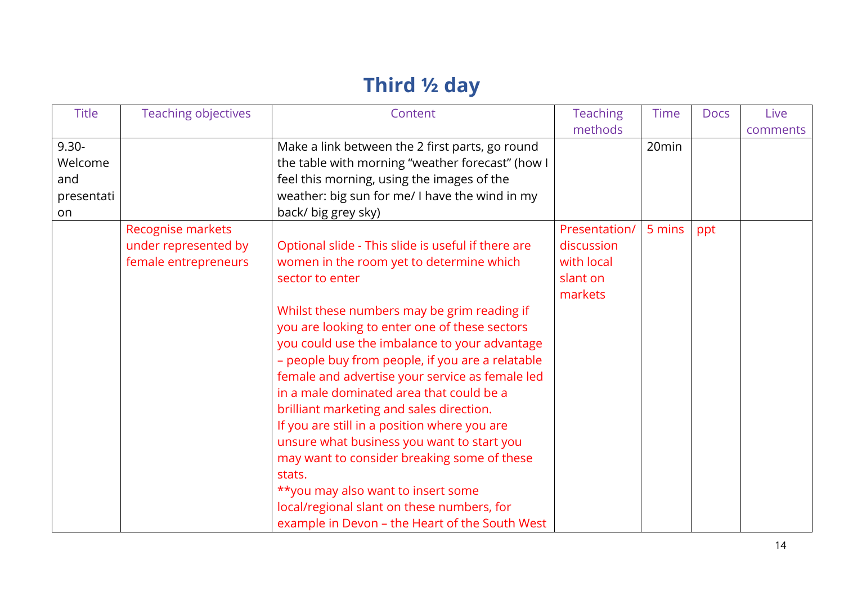## **Third ½ day**

| <b>Title</b> | <b>Teaching objectives</b> | Content                                            | <b>Teaching</b> | <b>Time</b> | <b>Docs</b> | Live     |
|--------------|----------------------------|----------------------------------------------------|-----------------|-------------|-------------|----------|
|              |                            |                                                    | methods         |             |             | comments |
| $9.30 -$     |                            | Make a link between the 2 first parts, go round    |                 | 20min       |             |          |
| Welcome      |                            | the table with morning "weather forecast" (how I   |                 |             |             |          |
| and          |                            | feel this morning, using the images of the         |                 |             |             |          |
| presentati   |                            | weather: big sun for me/ I have the wind in my     |                 |             |             |          |
| on           |                            | back/ big grey sky)                                |                 |             |             |          |
|              | Recognise markets          |                                                    | Presentation/   | 5 mins      | ppt         |          |
|              | under represented by       | Optional slide - This slide is useful if there are | discussion      |             |             |          |
|              | female entrepreneurs       | women in the room yet to determine which           | with local      |             |             |          |
|              |                            | sector to enter                                    | slant on        |             |             |          |
|              |                            |                                                    | markets         |             |             |          |
|              |                            | Whilst these numbers may be grim reading if        |                 |             |             |          |
|              |                            | you are looking to enter one of these sectors      |                 |             |             |          |
|              |                            | you could use the imbalance to your advantage      |                 |             |             |          |
|              |                            | - people buy from people, if you are a relatable   |                 |             |             |          |
|              |                            | female and advertise your service as female led    |                 |             |             |          |
|              |                            | in a male dominated area that could be a           |                 |             |             |          |
|              |                            | brilliant marketing and sales direction.           |                 |             |             |          |
|              |                            | If you are still in a position where you are       |                 |             |             |          |
|              |                            | unsure what business you want to start you         |                 |             |             |          |
|              |                            | may want to consider breaking some of these        |                 |             |             |          |
|              |                            | stats.                                             |                 |             |             |          |
|              |                            | ** you may also want to insert some                |                 |             |             |          |
|              |                            | local/regional slant on these numbers, for         |                 |             |             |          |
|              |                            | example in Devon - the Heart of the South West     |                 |             |             |          |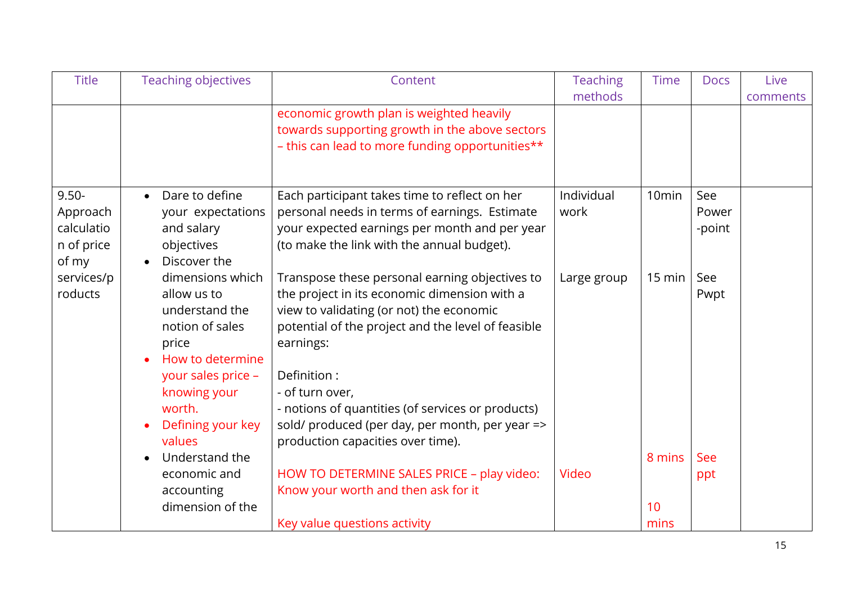| <b>Title</b>                                              | <b>Teaching objectives</b>                                                                                                                                                                    | Content                                                                                                                                                                                                                                                                                                                                                                                      | <b>Teaching</b><br>methods | <b>Time</b>       | <b>Docs</b>            | Live<br>comments |
|-----------------------------------------------------------|-----------------------------------------------------------------------------------------------------------------------------------------------------------------------------------------------|----------------------------------------------------------------------------------------------------------------------------------------------------------------------------------------------------------------------------------------------------------------------------------------------------------------------------------------------------------------------------------------------|----------------------------|-------------------|------------------------|------------------|
|                                                           |                                                                                                                                                                                               | economic growth plan is weighted heavily<br>towards supporting growth in the above sectors<br>- this can lead to more funding opportunities**                                                                                                                                                                                                                                                |                            |                   |                        |                  |
| $9.50 -$<br>Approach<br>calculatio<br>n of price<br>of my | Dare to define<br>$\bullet$<br>your expectations<br>and salary<br>objectives<br>Discover the                                                                                                  | Each participant takes time to reflect on her<br>personal needs in terms of earnings. Estimate<br>your expected earnings per month and per year<br>(to make the link with the annual budget).                                                                                                                                                                                                | Individual<br>work         | 10 <sub>min</sub> | See<br>Power<br>-point |                  |
| services/p<br>roducts                                     | dimensions which<br>allow us to<br>understand the<br>notion of sales<br>price<br>How to determine<br>your sales price -<br>knowing your<br>worth.<br>Defining your key<br>$\bullet$<br>values | Transpose these personal earning objectives to<br>the project in its economic dimension with a<br>view to validating (or not) the economic<br>potential of the project and the level of feasible<br>earnings:<br>Definition:<br>- of turn over,<br>- notions of quantities (of services or products)<br>sold/ produced (per day, per month, per year =><br>production capacities over time). | Large group                | $15 \text{ min}$  | See<br>Pwpt            |                  |
|                                                           | Understand the<br>economic and<br>accounting<br>dimension of the                                                                                                                              | HOW TO DETERMINE SALES PRICE - play video:<br>Know your worth and then ask for it                                                                                                                                                                                                                                                                                                            | Video                      | 8 mins<br>10      | See<br>ppt             |                  |
|                                                           |                                                                                                                                                                                               | Key value questions activity                                                                                                                                                                                                                                                                                                                                                                 |                            | mins              |                        |                  |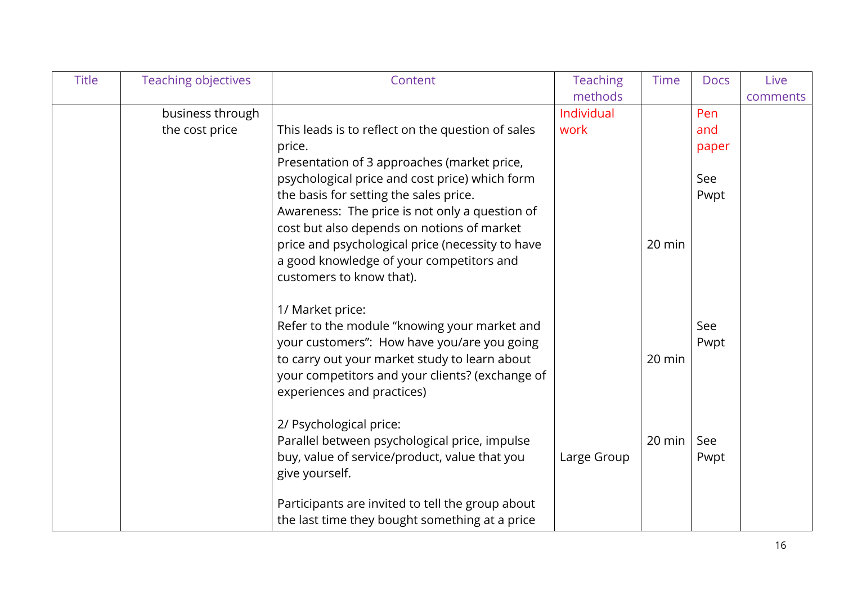| <b>Title</b> | <b>Teaching objectives</b> | Content                                                                                     | <b>Teaching</b> | <b>Time</b> | <b>Docs</b> | Live     |
|--------------|----------------------------|---------------------------------------------------------------------------------------------|-----------------|-------------|-------------|----------|
|              |                            |                                                                                             | methods         |             |             | comments |
|              | business through           |                                                                                             | Individual      |             | Pen         |          |
|              | the cost price             | This leads is to reflect on the question of sales                                           | work            |             | and         |          |
|              |                            | price.                                                                                      |                 |             | paper       |          |
|              |                            | Presentation of 3 approaches (market price,                                                 |                 |             |             |          |
|              |                            | psychological price and cost price) which form                                              |                 |             | See         |          |
|              |                            | the basis for setting the sales price.                                                      |                 |             | Pwpt        |          |
|              |                            | Awareness: The price is not only a question of                                              |                 |             |             |          |
|              |                            | cost but also depends on notions of market                                                  |                 |             |             |          |
|              |                            | price and psychological price (necessity to have                                            |                 | 20 min      |             |          |
|              |                            | a good knowledge of your competitors and                                                    |                 |             |             |          |
|              |                            | customers to know that).                                                                    |                 |             |             |          |
|              |                            |                                                                                             |                 |             |             |          |
|              |                            | 1/ Market price:                                                                            |                 |             | See         |          |
|              |                            | Refer to the module "knowing your market and<br>your customers": How have you/are you going |                 |             | Pwpt        |          |
|              |                            | to carry out your market study to learn about                                               |                 | 20 min      |             |          |
|              |                            | your competitors and your clients? (exchange of                                             |                 |             |             |          |
|              |                            | experiences and practices)                                                                  |                 |             |             |          |
|              |                            |                                                                                             |                 |             |             |          |
|              |                            | 2/ Psychological price:                                                                     |                 |             |             |          |
|              |                            | Parallel between psychological price, impulse                                               |                 | 20 min      | See         |          |
|              |                            | buy, value of service/product, value that you                                               | Large Group     |             | Pwpt        |          |
|              |                            | give yourself.                                                                              |                 |             |             |          |
|              |                            |                                                                                             |                 |             |             |          |
|              |                            | Participants are invited to tell the group about                                            |                 |             |             |          |
|              |                            | the last time they bought something at a price                                              |                 |             |             |          |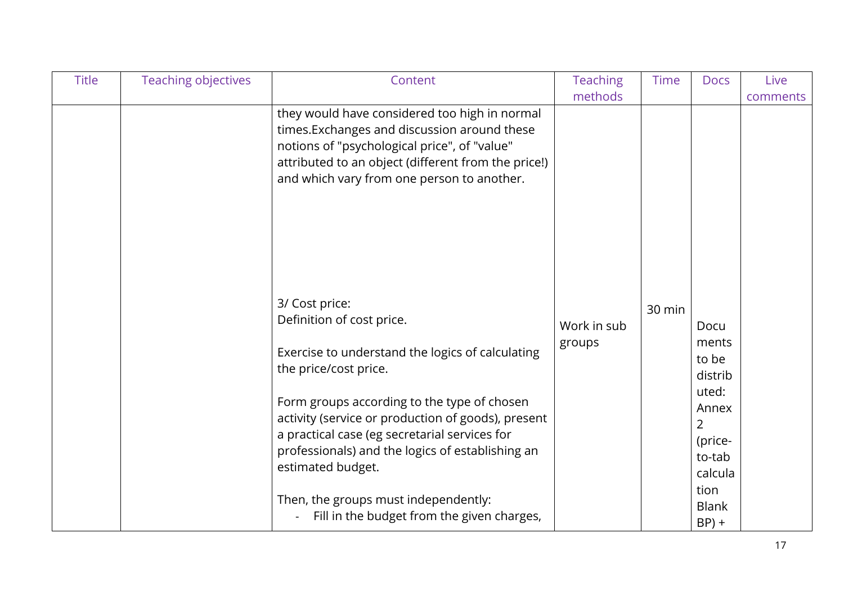| <b>Title</b> | <b>Teaching objectives</b> | Content                                             | <b>Teaching</b> | <b>Time</b> | <b>Docs</b>  | Live     |
|--------------|----------------------------|-----------------------------------------------------|-----------------|-------------|--------------|----------|
|              |                            |                                                     | methods         |             |              | comments |
|              |                            | they would have considered too high in normal       |                 |             |              |          |
|              |                            | times. Exchanges and discussion around these        |                 |             |              |          |
|              |                            | notions of "psychological price", of "value"        |                 |             |              |          |
|              |                            | attributed to an object (different from the price!) |                 |             |              |          |
|              |                            | and which vary from one person to another.          |                 |             |              |          |
|              |                            |                                                     |                 |             |              |          |
|              |                            |                                                     |                 |             |              |          |
|              |                            |                                                     |                 |             |              |          |
|              |                            |                                                     |                 |             |              |          |
|              |                            |                                                     |                 |             |              |          |
|              |                            |                                                     |                 |             |              |          |
|              |                            | 3/ Cost price:                                      |                 | 30 min      |              |          |
|              |                            | Definition of cost price.                           | Work in sub     |             | Docu         |          |
|              |                            |                                                     | groups          |             | ments        |          |
|              |                            | Exercise to understand the logics of calculating    |                 |             | to be        |          |
|              |                            | the price/cost price.                               |                 |             | distrib      |          |
|              |                            |                                                     |                 |             | uted:        |          |
|              |                            | Form groups according to the type of chosen         |                 |             | Annex        |          |
|              |                            | activity (service or production of goods), present  |                 |             | 2            |          |
|              |                            | a practical case (eg secretarial services for       |                 |             | (price-      |          |
|              |                            | professionals) and the logics of establishing an    |                 |             | to-tab       |          |
|              |                            | estimated budget.                                   |                 |             | calcula      |          |
|              |                            |                                                     |                 |             | tion         |          |
|              |                            | Then, the groups must independently:                |                 |             | <b>Blank</b> |          |
|              |                            | Fill in the budget from the given charges,          |                 |             | $BP$ ) +     |          |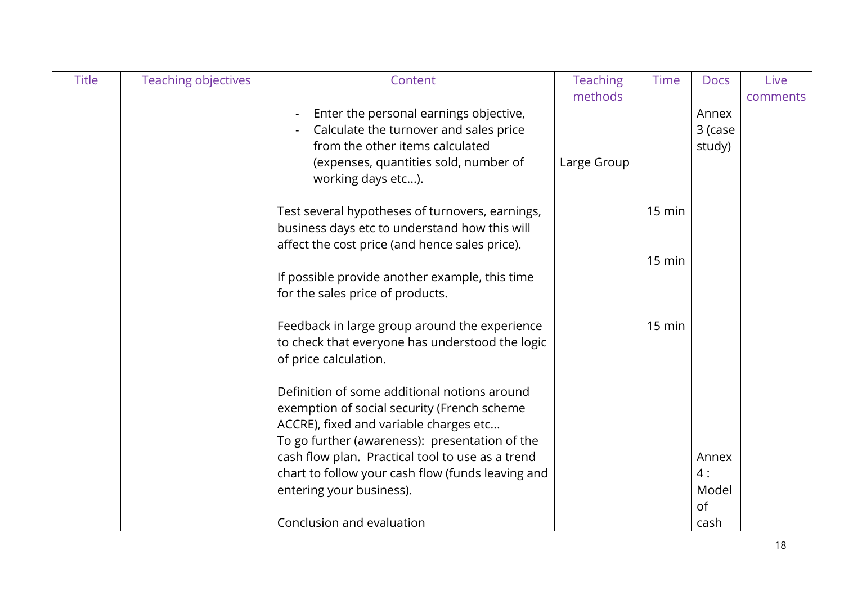| <b>Title</b> | <b>Teaching objectives</b> | Content                                           | <b>Teaching</b> | <b>Time</b>      | <b>Docs</b> | Live     |
|--------------|----------------------------|---------------------------------------------------|-----------------|------------------|-------------|----------|
|              |                            |                                                   | methods         |                  |             | comments |
|              |                            | Enter the personal earnings objective,            |                 |                  | Annex       |          |
|              |                            | Calculate the turnover and sales price            |                 |                  | 3 (case     |          |
|              |                            | from the other items calculated                   |                 |                  | study)      |          |
|              |                            | (expenses, quantities sold, number of             | Large Group     |                  |             |          |
|              |                            | working days etc).                                |                 |                  |             |          |
|              |                            | Test several hypotheses of turnovers, earnings,   |                 | $15 \text{ min}$ |             |          |
|              |                            | business days etc to understand how this will     |                 |                  |             |          |
|              |                            | affect the cost price (and hence sales price).    |                 |                  |             |          |
|              |                            |                                                   |                 | $15 \text{ min}$ |             |          |
|              |                            | If possible provide another example, this time    |                 |                  |             |          |
|              |                            | for the sales price of products.                  |                 |                  |             |          |
|              |                            | Feedback in large group around the experience     |                 | 15 min           |             |          |
|              |                            | to check that everyone has understood the logic   |                 |                  |             |          |
|              |                            | of price calculation.                             |                 |                  |             |          |
|              |                            | Definition of some additional notions around      |                 |                  |             |          |
|              |                            | exemption of social security (French scheme       |                 |                  |             |          |
|              |                            | ACCRE), fixed and variable charges etc            |                 |                  |             |          |
|              |                            | To go further (awareness): presentation of the    |                 |                  |             |          |
|              |                            | cash flow plan. Practical tool to use as a trend  |                 |                  | Annex       |          |
|              |                            | chart to follow your cash flow (funds leaving and |                 |                  | 4:          |          |
|              |                            | entering your business).                          |                 |                  | Model       |          |
|              |                            |                                                   |                 |                  | of          |          |
|              |                            | Conclusion and evaluation                         |                 |                  | cash        |          |